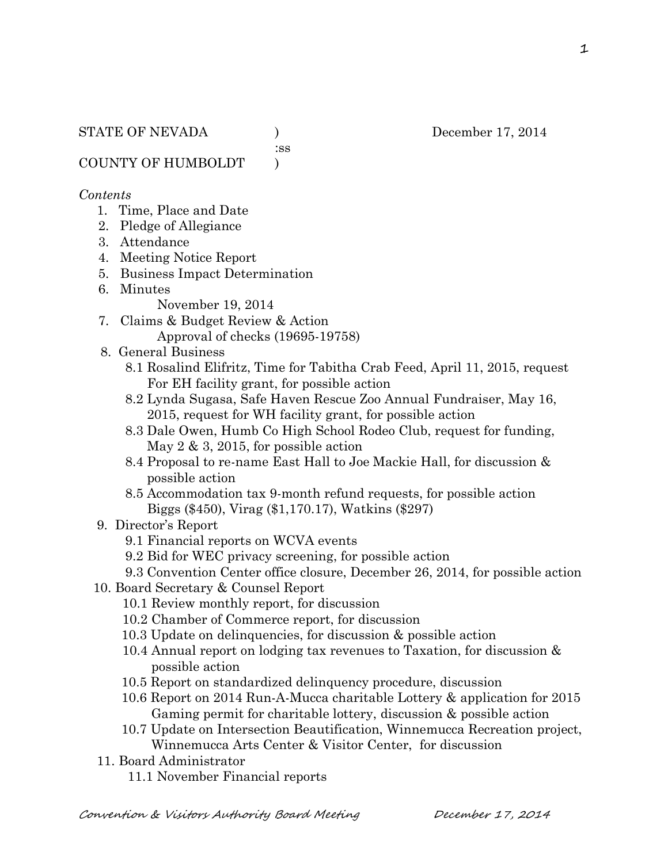:ss

COUNTY OF HUMBOLDT )

#### *Contents*

- 1. Time, Place and Date
- 2. Pledge of Allegiance
- 3. Attendance
- 4. Meeting Notice Report
- 5. Business Impact Determination
- 6. Minutes
	- November 19, 2014
- 7. Claims & Budget Review & Action Approval of checks (19695-19758)
- 8. General Business
	- 8.1 Rosalind Elifritz, Time for Tabitha Crab Feed, April 11, 2015, request For EH facility grant, for possible action
	- 8.2 Lynda Sugasa, Safe Haven Rescue Zoo Annual Fundraiser, May 16, 2015, request for WH facility grant, for possible action
	- 8.3 Dale Owen, Humb Co High School Rodeo Club, request for funding, May 2 & 3, 2015, for possible action
	- 8.4 Proposal to re-name East Hall to Joe Mackie Hall, for discussion & possible action
	- 8.5 Accommodation tax 9-month refund requests, for possible action Biggs (\$450), Virag (\$1,170.17), Watkins (\$297)

#### 9. Director's Report

- 9.1 Financial reports on WCVA events
- 9.2 Bid for WEC privacy screening, for possible action
- 9.3 Convention Center office closure, December 26, 2014, for possible action
- 10. Board Secretary & Counsel Report
	- 10.1 Review monthly report, for discussion
	- 10.2 Chamber of Commerce report, for discussion
	- 10.3 Update on delinquencies, for discussion & possible action
	- 10.4 Annual report on lodging tax revenues to Taxation, for discussion & possible action
	- 10.5 Report on standardized delinquency procedure, discussion
	- 10.6 Report on 2014 Run-A-Mucca charitable Lottery & application for 2015 Gaming permit for charitable lottery, discussion & possible action
	- 10.7 Update on Intersection Beautification, Winnemucca Recreation project, Winnemucca Arts Center & Visitor Center, for discussion
- 11. Board Administrator
	- 11.1 November Financial reports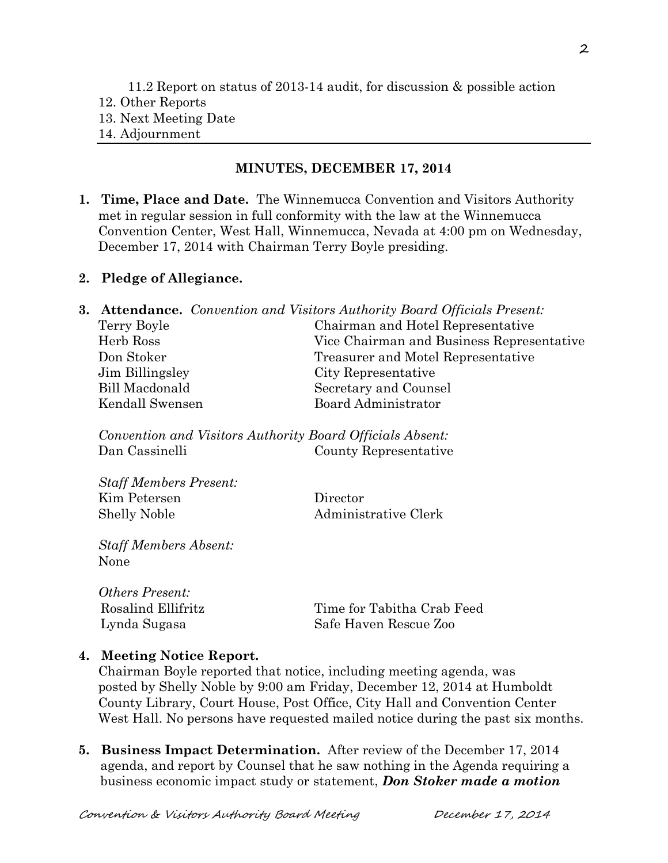### **MINUTES, DECEMBER 17, 2014**

**1. Time, Place and Date.** The Winnemucca Convention and Visitors Authority met in regular session in full conformity with the law at the Winnemucca Convention Center, West Hall, Winnemucca, Nevada at 4:00 pm on Wednesday, December 17, 2014 with Chairman Terry Boyle presiding.

### **2. Pledge of Allegiance.**

|                 | <b>3. Attendance.</b> Convention and Visitors Authority Board Officials Present: |
|-----------------|----------------------------------------------------------------------------------|
| Terry Boyle     | Chairman and Hotel Representative                                                |
| Herb Ross       | Vice Chairman and Business Representative                                        |
| Don Stoker      | Treasurer and Motel Representative                                               |
| Jim Billingsley | City Representative                                                              |
| Bill Macdonald  | Secretary and Counsel                                                            |
| Kendall Swensen | Board Administrator                                                              |
|                 |                                                                                  |

*Convention and Visitors Authority Board Officials Absent:* Dan Cassinelli County Representative

*Staff Members Present:* Kim Petersen Director Shelly Noble Administrative Clerk

*Staff Members Absent:* None

*Others Present:*

Rosalind Ellifritz Time for Tabitha Crab Feed Lynda Sugasa Safe Haven Rescue Zoo

# **4. Meeting Notice Report.**

Chairman Boyle reported that notice, including meeting agenda, was posted by Shelly Noble by 9:00 am Friday, December 12, 2014 at Humboldt County Library, Court House, Post Office, City Hall and Convention Center West Hall. No persons have requested mailed notice during the past six months.

**5. Business Impact Determination.** After review of the December 17, 2014 agenda, and report by Counsel that he saw nothing in the Agenda requiring a business economic impact study or statement, *Don Stoker made a motion*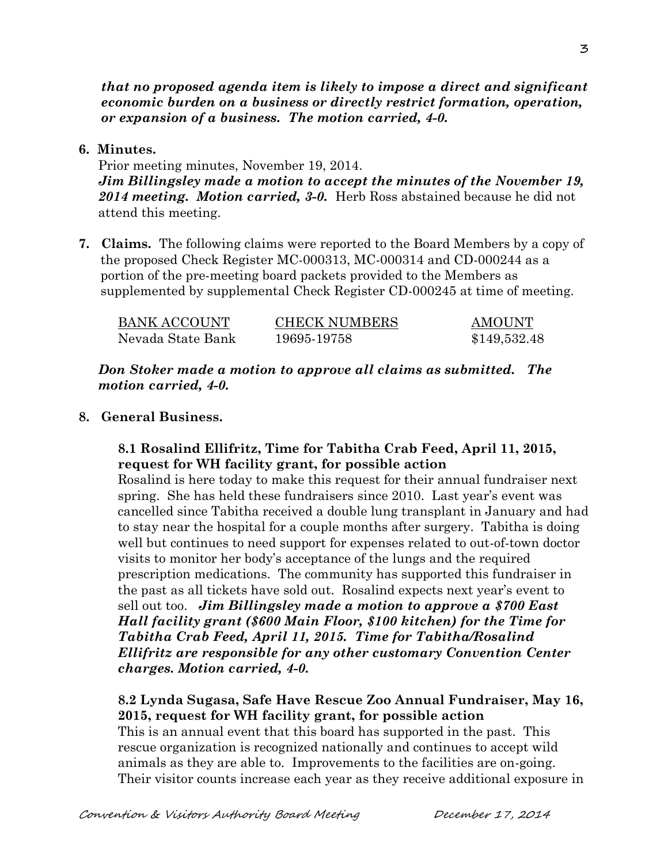*that no proposed agenda item is likely to impose a direct and significant economic burden on a business or directly restrict formation, operation, or expansion of a business. The motion carried, 4-0.* 

### **6. Minutes.**

Prior meeting minutes, November 19, 2014. *Jim Billingsley made a motion to accept the minutes of the November 19, 2014 meeting. Motion carried, 3-0.* Herb Ross abstained because he did not attend this meeting.

**7. Claims.** The following claims were reported to the Board Members by a copy of the proposed Check Register MC-000313, MC-000314 and CD-000244 as a portion of the pre-meeting board packets provided to the Members as supplemented by supplemental Check Register CD-000245 at time of meeting.

| <b>BANK ACCOUNT</b> | <b>CHECK NUMBERS</b> | AMOUNT       |
|---------------------|----------------------|--------------|
| Nevada State Bank   | 19695-19758          | \$149,532.48 |

*Don Stoker made a motion to approve all claims as submitted. The motion carried, 4-0.*

### **8. General Business.**

### **8.1 Rosalind Ellifritz, Time for Tabitha Crab Feed, April 11, 2015, request for WH facility grant, for possible action**

Rosalind is here today to make this request for their annual fundraiser next spring. She has held these fundraisers since 2010. Last year's event was cancelled since Tabitha received a double lung transplant in January and had to stay near the hospital for a couple months after surgery. Tabitha is doing well but continues to need support for expenses related to out-of-town doctor visits to monitor her body's acceptance of the lungs and the required prescription medications. The community has supported this fundraiser in the past as all tickets have sold out. Rosalind expects next year's event to sell out too. *Jim Billingsley made a motion to approve a \$700 East Hall facility grant (\$600 Main Floor, \$100 kitchen) for the Time for Tabitha Crab Feed, April 11, 2015. Time for Tabitha/Rosalind Ellifritz are responsible for any other customary Convention Center charges. Motion carried, 4-0.* 

# **8.2 Lynda Sugasa, Safe Have Rescue Zoo Annual Fundraiser, May 16, 2015, request for WH facility grant, for possible action**

This is an annual event that this board has supported in the past. This rescue organization is recognized nationally and continues to accept wild animals as they are able to. Improvements to the facilities are on-going. Their visitor counts increase each year as they receive additional exposure in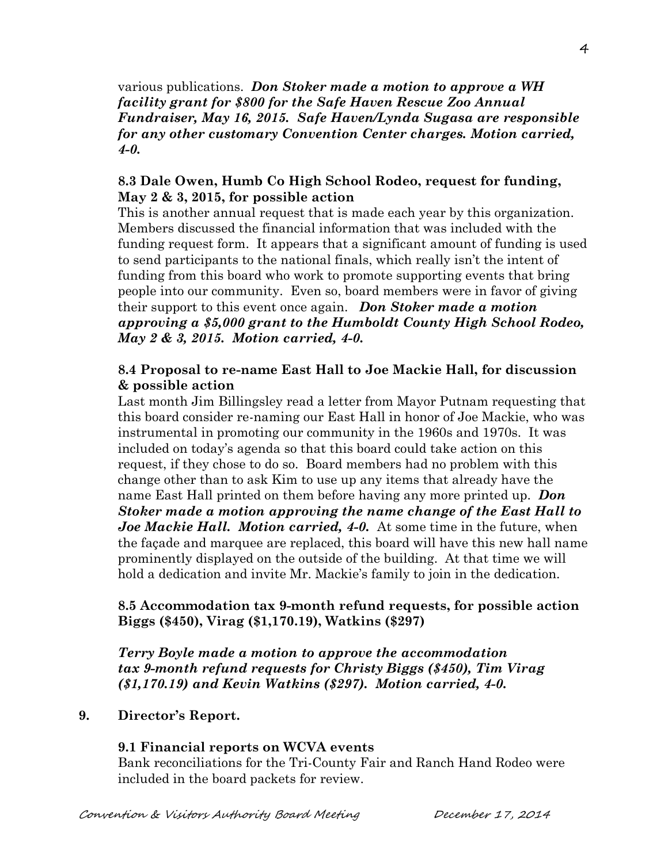various publications. *Don Stoker made a motion to approve a WH facility grant for \$800 for the Safe Haven Rescue Zoo Annual Fundraiser, May 16, 2015. Safe Haven/Lynda Sugasa are responsible for any other customary Convention Center charges. Motion carried, 4-0.*

# **8.3 Dale Owen, Humb Co High School Rodeo, request for funding, May 2 & 3, 2015, for possible action**

This is another annual request that is made each year by this organization. Members discussed the financial information that was included with the funding request form. It appears that a significant amount of funding is used to send participants to the national finals, which really isn't the intent of funding from this board who work to promote supporting events that bring people into our community. Even so, board members were in favor of giving their support to this event once again. *Don Stoker made a motion approving a \$5,000 grant to the Humboldt County High School Rodeo, May 2 & 3, 2015. Motion carried, 4-0.*

### **8.4 Proposal to re-name East Hall to Joe Mackie Hall, for discussion & possible action**

Last month Jim Billingsley read a letter from Mayor Putnam requesting that this board consider re-naming our East Hall in honor of Joe Mackie, who was instrumental in promoting our community in the 1960s and 1970s. It was included on today's agenda so that this board could take action on this request, if they chose to do so. Board members had no problem with this change other than to ask Kim to use up any items that already have the name East Hall printed on them before having any more printed up. *Don Stoker made a motion approving the name change of the East Hall to Joe Mackie Hall. Motion carried, 4-0.* At some time in the future, when the façade and marquee are replaced, this board will have this new hall name prominently displayed on the outside of the building. At that time we will hold a dedication and invite Mr. Mackie's family to join in the dedication.

# **8.5 Accommodation tax 9-month refund requests, for possible action Biggs (\$450), Virag (\$1,170.19), Watkins (\$297)**

*Terry Boyle made a motion to approve the accommodation tax 9-month refund requests for Christy Biggs (\$450), Tim Virag (\$1,170.19) and Kevin Watkins (\$297). Motion carried, 4-0.*

# **9. Director's Report.**

# **9.1 Financial reports on WCVA events**

Bank reconciliations for the Tri-County Fair and Ranch Hand Rodeo were included in the board packets for review.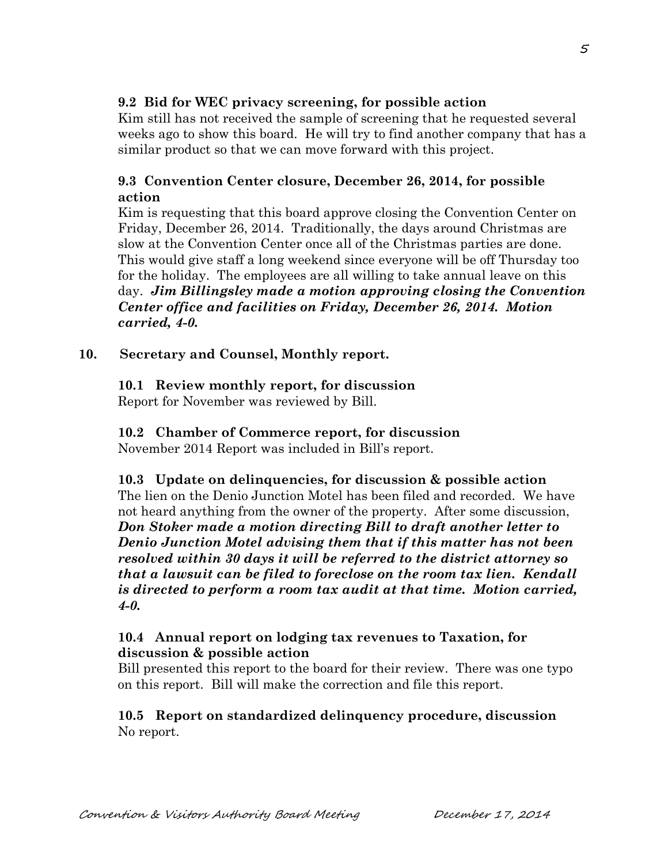# **9.2 Bid for WEC privacy screening, for possible action**

Kim still has not received the sample of screening that he requested several weeks ago to show this board. He will try to find another company that has a similar product so that we can move forward with this project.

# **9.3 Convention Center closure, December 26, 2014, for possible action**

Kim is requesting that this board approve closing the Convention Center on Friday, December 26, 2014. Traditionally, the days around Christmas are slow at the Convention Center once all of the Christmas parties are done. This would give staff a long weekend since everyone will be off Thursday too for the holiday. The employees are all willing to take annual leave on this day. *Jim Billingsley made a motion approving closing the Convention Center office and facilities on Friday, December 26, 2014. Motion carried, 4-0.*

### **10. Secretary and Counsel, Monthly report.**

# **10.1 Review monthly report, for discussion**

Report for November was reviewed by Bill.

# **10.2 Chamber of Commerce report, for discussion**

November 2014 Report was included in Bill's report.

**10.3 Update on delinquencies, for discussion & possible action** The lien on the Denio Junction Motel has been filed and recorded. We have not heard anything from the owner of the property. After some discussion, *Don Stoker made a motion directing Bill to draft another letter to Denio Junction Motel advising them that if this matter has not been resolved within 30 days it will be referred to the district attorney so that a lawsuit can be filed to foreclose on the room tax lien. Kendall is directed to perform a room tax audit at that time. Motion carried, 4-0.* 

### **10.4 Annual report on lodging tax revenues to Taxation, for discussion & possible action**

Bill presented this report to the board for their review. There was one typo on this report. Bill will make the correction and file this report.

# **10.5 Report on standardized delinquency procedure, discussion** No report.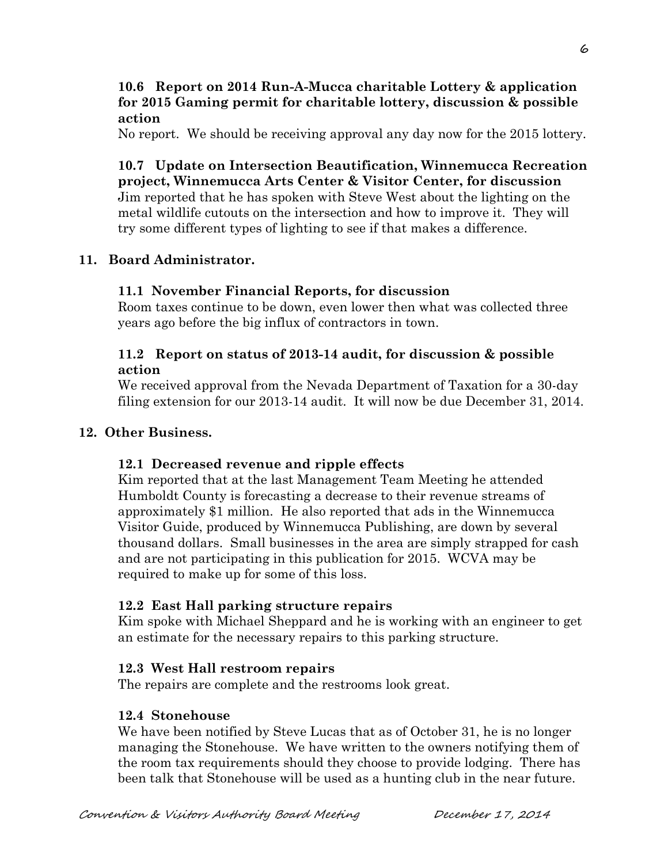### **10.6 Report on 2014 Run-A-Mucca charitable Lottery & application for 2015 Gaming permit for charitable lottery, discussion & possible action**

No report. We should be receiving approval any day now for the 2015 lottery.

**10.7 Update on Intersection Beautification, Winnemucca Recreation project, Winnemucca Arts Center & Visitor Center, for discussion** Jim reported that he has spoken with Steve West about the lighting on the metal wildlife cutouts on the intersection and how to improve it. They will try some different types of lighting to see if that makes a difference.

# **11. Board Administrator.**

# **11.1 November Financial Reports, for discussion**

Room taxes continue to be down, even lower then what was collected three years ago before the big influx of contractors in town.

### **11.2 Report on status of 2013-14 audit, for discussion & possible action**

We received approval from the Nevada Department of Taxation for a 30-day filing extension for our 2013-14 audit. It will now be due December 31, 2014.

# **12. Other Business.**

# **12.1 Decreased revenue and ripple effects**

Kim reported that at the last Management Team Meeting he attended Humboldt County is forecasting a decrease to their revenue streams of approximately \$1 million. He also reported that ads in the Winnemucca Visitor Guide, produced by Winnemucca Publishing, are down by several thousand dollars. Small businesses in the area are simply strapped for cash and are not participating in this publication for 2015. WCVA may be required to make up for some of this loss.

# **12.2 East Hall parking structure repairs**

Kim spoke with Michael Sheppard and he is working with an engineer to get an estimate for the necessary repairs to this parking structure.

# **12.3 West Hall restroom repairs**

The repairs are complete and the restrooms look great.

# **12.4 Stonehouse**

We have been notified by Steve Lucas that as of October 31, he is no longer managing the Stonehouse. We have written to the owners notifying them of the room tax requirements should they choose to provide lodging. There has been talk that Stonehouse will be used as a hunting club in the near future.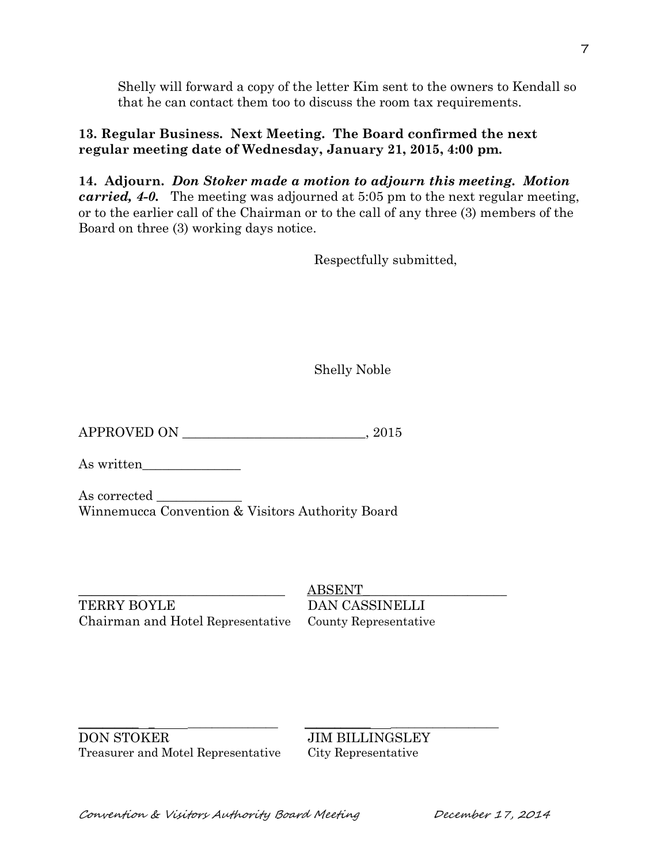Shelly will forward a copy of the letter Kim sent to the owners to Kendall so that he can contact them too to discuss the room tax requirements.

# **13. Regular Business. Next Meeting. The Board confirmed the next regular meeting date of Wednesday, January 21, 2015, 4:00 pm.**

**14. Adjourn.** *Don Stoker made a motion to adjourn this meeting. Motion carried, 4-0.* The meeting was adjourned at 5:05 pm to the next regular meeting, or to the earlier call of the Chairman or to the call of any three (3) members of the Board on three (3) working days notice.

Respectfully submitted,

Shelly Noble

 $APPROVED ON$   $.2015$ 

As written

As corrected Winnemucca Convention & Visitors Authority Board

TERRY BOYLE DAN CASSINELLI Chairman and Hotel Representative County Representative

 $ABSENT$ 

\_\_\_\_\_\_\_\_\_\_ \_ \_\_\_\_\_\_\_\_\_\_\_\_\_\_\_ \_\_\_\_\_\_\_\_\_\_\_ \_\_\_\_\_\_\_\_\_\_\_\_\_\_\_\_\_\_ DON STOKER JIM BILLINGSLEY Treasurer and Motel Representative City Representative